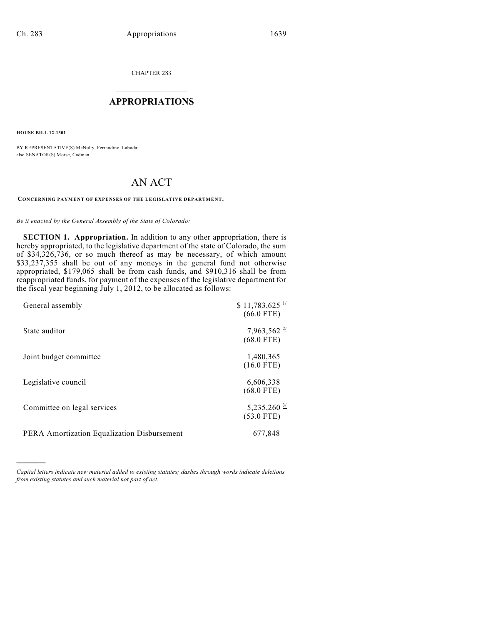CHAPTER 283

## $\mathcal{L}_\text{max}$  . The set of the set of the set of the set of the set of the set of the set of the set of the set of the set of the set of the set of the set of the set of the set of the set of the set of the set of the set **APPROPRIATIONS**  $\_$   $\_$   $\_$   $\_$   $\_$   $\_$   $\_$   $\_$

**HOUSE BILL 12-1301**

)))))

BY REPRESENTATIVE(S) McNulty, Ferrandino, Labuda; also SENATOR(S) Morse, Cadman.

## AN ACT

## **CONCERNING PAYMENT OF EXPENSES OF THE LEGISLATIVE DEPARTMENT.**

*Be it enacted by the General Assembly of the State of Colorado:*

**SECTION 1. Appropriation.** In addition to any other appropriation, there is hereby appropriated, to the legislative department of the state of Colorado, the sum of \$34,326,736, or so much thereof as may be necessary, of which amount \$33,237,355 shall be out of any moneys in the general fund not otherwise appropriated, \$179,065 shall be from cash funds, and \$910,316 shall be from reappropriated funds, for payment of the expenses of the legislative department for the fiscal year beginning July 1, 2012, to be allocated as follows:

| General assembly                            | $$11,783,625$ $\frac{1}{2}$<br>$(66.0$ FTE) |
|---------------------------------------------|---------------------------------------------|
| State auditor                               | $7,963,562 \frac{27}{2}$<br>$(68.0$ FTE)    |
| Joint budget committee                      | 1,480,365<br>$(16.0$ FTE)                   |
| Legislative council                         | 6,606,338<br>$(68.0$ FTE)                   |
| Committee on legal services                 | 5,235,260 $\frac{3}{2}$<br>$(53.0$ FTE)     |
| PERA Amortization Equalization Disbursement | 677,848                                     |

*Capital letters indicate new material added to existing statutes; dashes through words indicate deletions from existing statutes and such material not part of act.*